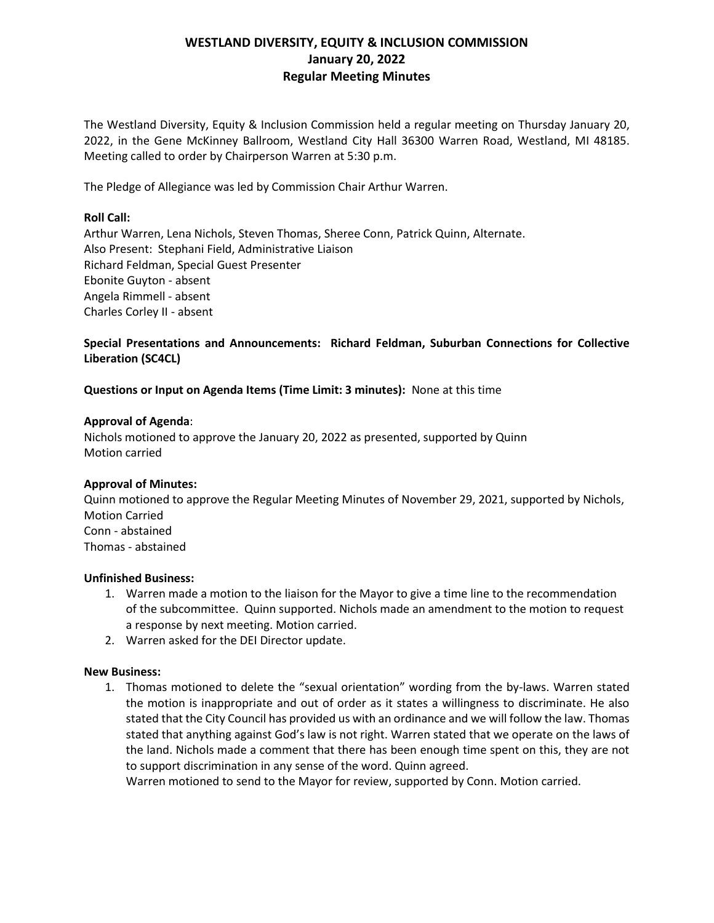# **WESTLAND DIVERSITY, EQUITY & INCLUSION COMMISSION January 20, 2022 Regular Meeting Minutes**

The Westland Diversity, Equity & Inclusion Commission held a regular meeting on Thursday January 20, 2022, in the Gene McKinney Ballroom, Westland City Hall 36300 Warren Road, Westland, MI 48185. Meeting called to order by Chairperson Warren at 5:30 p.m.

The Pledge of Allegiance was led by Commission Chair Arthur Warren.

# **Roll Call:**

Arthur Warren, Lena Nichols, Steven Thomas, Sheree Conn, Patrick Quinn, Alternate. Also Present: Stephani Field, Administrative Liaison Richard Feldman, Special Guest Presenter Ebonite Guyton - absent Angela Rimmell - absent Charles Corley II - absent

# **Special Presentations and Announcements: Richard Feldman, Suburban Connections for Collective Liberation (SC4CL)**

# **Questions or Input on Agenda Items (Time Limit: 3 minutes):** None at this time

## **Approval of Agenda**:

Nichols motioned to approve the January 20, 2022 as presented, supported by Quinn Motion carried

# **Approval of Minutes:**

Quinn motioned to approve the Regular Meeting Minutes of November 29, 2021, supported by Nichols, Motion Carried Conn - abstained Thomas - abstained

#### **Unfinished Business:**

- 1. Warren made a motion to the liaison for the Mayor to give a time line to the recommendation of the subcommittee. Quinn supported. Nichols made an amendment to the motion to request a response by next meeting. Motion carried.
- 2. Warren asked for the DEI Director update.

#### **New Business:**

1. Thomas motioned to delete the "sexual orientation" wording from the by-laws. Warren stated the motion is inappropriate and out of order as it states a willingness to discriminate. He also stated that the City Council has provided us with an ordinance and we will follow the law. Thomas stated that anything against God's law is not right. Warren stated that we operate on the laws of the land. Nichols made a comment that there has been enough time spent on this, they are not to support discrimination in any sense of the word. Quinn agreed.

Warren motioned to send to the Mayor for review, supported by Conn. Motion carried.